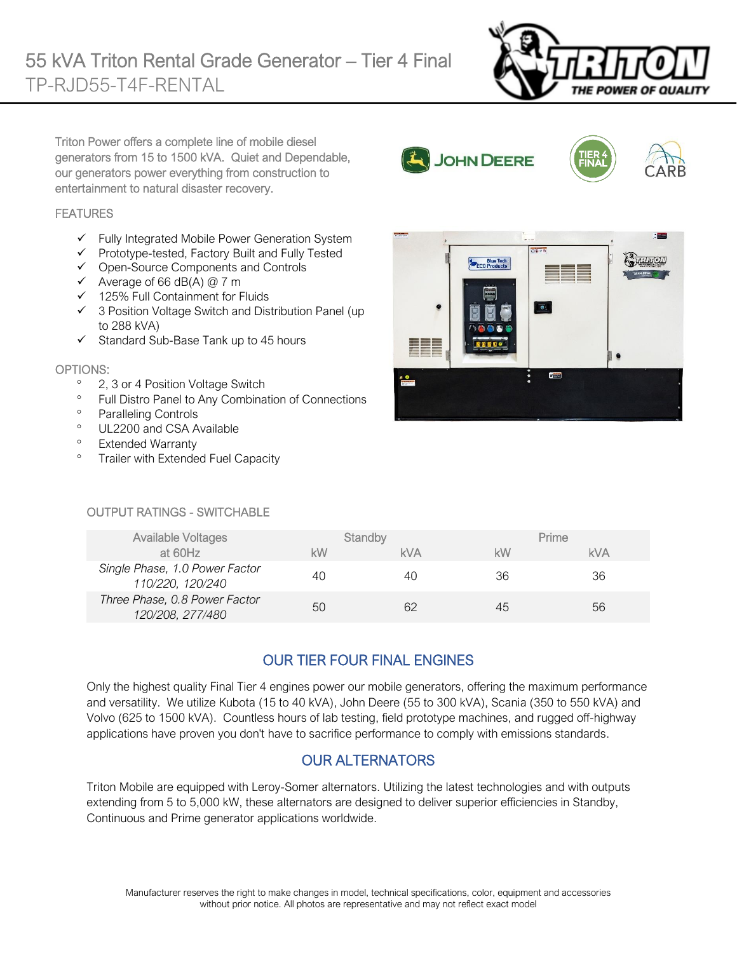

Triton Power offers a complete line of mobile diesel generators from 15 to 1500 kVA. Quiet and Dependable, our generators power everything from construction to entertainment to natural disaster recovery.

### **FEATURES**

- $\checkmark$  Fully Integrated Mobile Power Generation System
- ✓ Prototype-tested, Factory Built and Fully Tested
- ✓ Open-Source Components and Controls
- $\checkmark$  Average of 66 dB(A) @ 7 m
- ✓ 125% Full Containment for Fluids
- ✓ 3 Position Voltage Switch and Distribution Panel (up to 288 kVA)
- ✓ Standard Sub-Base Tank up to 45 hours

#### OPTIONS:

- <sup>o</sup> 2, 3 or 4 Position Voltage Switch
- <sup>o</sup> Full Distro Panel to Any Combination of Connections
- <sup>o</sup> Paralleling Controls
- <sup>o</sup> UL2200 and CSA Available
- <sup>o</sup> Extended Warranty
- <sup>o</sup> Trailer with Extended Fuel Capacity

# $\Box$  $P_{\overline{1}}$

JOHN DEERE

Blue Tech<br>ECO Products

#### OUTPUT RATINGS - SWITCHABLE

| <b>Available Voltages</b>                          |    | Standby    |    | Prime      |
|----------------------------------------------------|----|------------|----|------------|
| at 60Hz                                            | kW | <b>kVA</b> | kW | <b>kVA</b> |
| Single Phase, 1.0 Power Factor<br>110/220, 120/240 | 40 | 40         | 36 | 36         |
| Three Phase, 0.8 Power Factor<br>120/208, 277/480  | 50 |            | 45 | 56         |

# OUR TIER FOUR FINAL ENGINES

Only the highest quality Final Tier 4 engines power our mobile generators, offering the maximum performance and versatility. We utilize Kubota (15 to 40 kVA), John Deere (55 to 300 kVA), Scania (350 to 550 kVA) and Volvo (625 to 1500 kVA). Countless hours of lab testing, field prototype machines, and rugged off-highway applications have proven you don't have to sacrifice performance to comply with emissions standards.

## OUR ALTERNATORS

Triton Mobile are equipped with Leroy-Somer alternators. Utilizing the latest technologies and with outputs extending from 5 to 5,000 kW, these alternators are designed to deliver superior efficiencies in Standby, Continuous and Prime generator applications worldwide.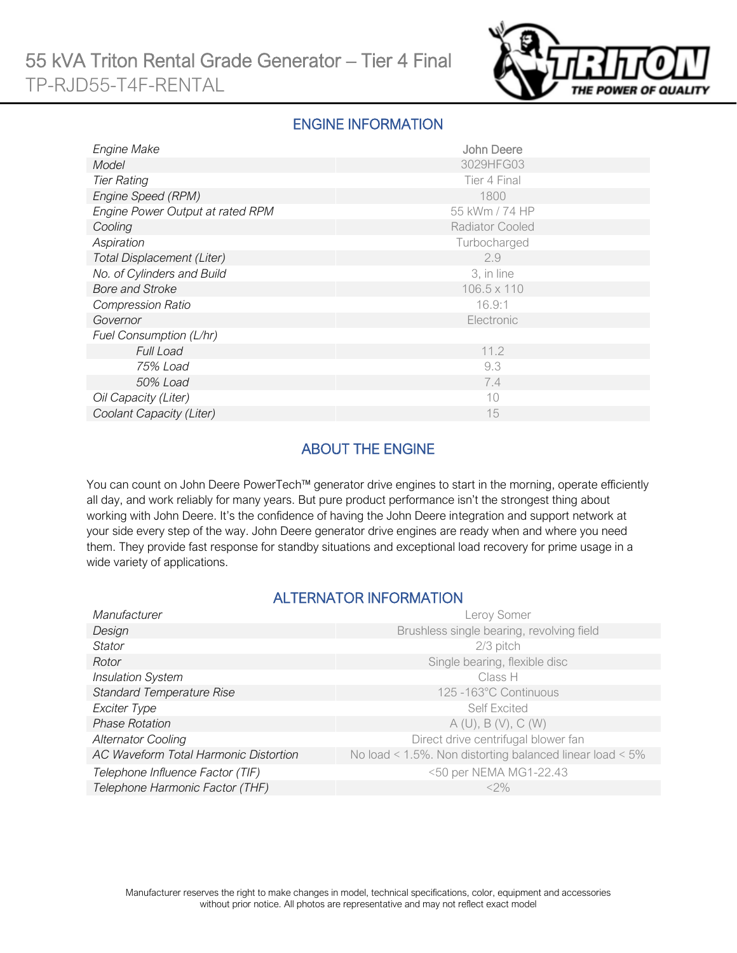

## ENGINE INFORMATION

| Engine Make                       | <b>John Deere</b> |
|-----------------------------------|-------------------|
| Model                             | 3029HFG03         |
| <b>Tier Rating</b>                | Tier 4 Final      |
| Engine Speed (RPM)                | 1800              |
| Engine Power Output at rated RPM  | 55 kWm / 74 HP    |
| Cooling                           | Radiator Cooled   |
| Aspiration                        | Turbocharged      |
| <b>Total Displacement (Liter)</b> | 2.9               |
| No. of Cylinders and Build        | 3, in line        |
| <b>Bore and Stroke</b>            | 106.5 x 110       |
| <b>Compression Ratio</b>          | 16.9:1            |
| Governor                          | Electronic        |
| Fuel Consumption (L/hr)           |                   |
| <b>Full Load</b>                  | 11.2              |
| 75% Load                          | 9.3               |
| 50% Load                          | 7.4               |
| Oil Capacity (Liter)              | 10                |
| Coolant Capacity (Liter)          | 15                |

# ABOUT THE ENGINE

You can count on John Deere PowerTech™ generator drive engines to start in the morning, operate efficiently all day, and work reliably for many years. But pure product performance isn't the strongest thing about working with John Deere. It's the confidence of having the John Deere integration and support network at your side every step of the way. John Deere generator drive engines are ready when and where you need them. They provide fast response for standby situations and exceptional load recovery for prime usage in a wide variety of applications.

## ALTERNATOR INFORMATION

| Manufacturer                          | Leroy Somer                                                     |
|---------------------------------------|-----------------------------------------------------------------|
| Design                                | Brushless single bearing, revolving field                       |
| Stator                                | 2/3 pitch                                                       |
| Rotor                                 | Single bearing, flexible disc                                   |
| <b>Insulation System</b>              | Class H                                                         |
| <b>Standard Temperature Rise</b>      | 125 -163°C Continuous                                           |
| Exciter Type                          | <b>Self Excited</b>                                             |
| <b>Phase Rotation</b>                 | A(U), B(V), C(W)                                                |
| <b>Alternator Cooling</b>             | Direct drive centrifugal blower fan                             |
| AC Waveform Total Harmonic Distortion | No load < $1.5\%$ . Non distorting balanced linear load < $5\%$ |
| Telephone Influence Factor (TIF)      | <50 per NEMA MG1-22.43                                          |
| Telephone Harmonic Factor (THF)       | $<$ 2%                                                          |
|                                       |                                                                 |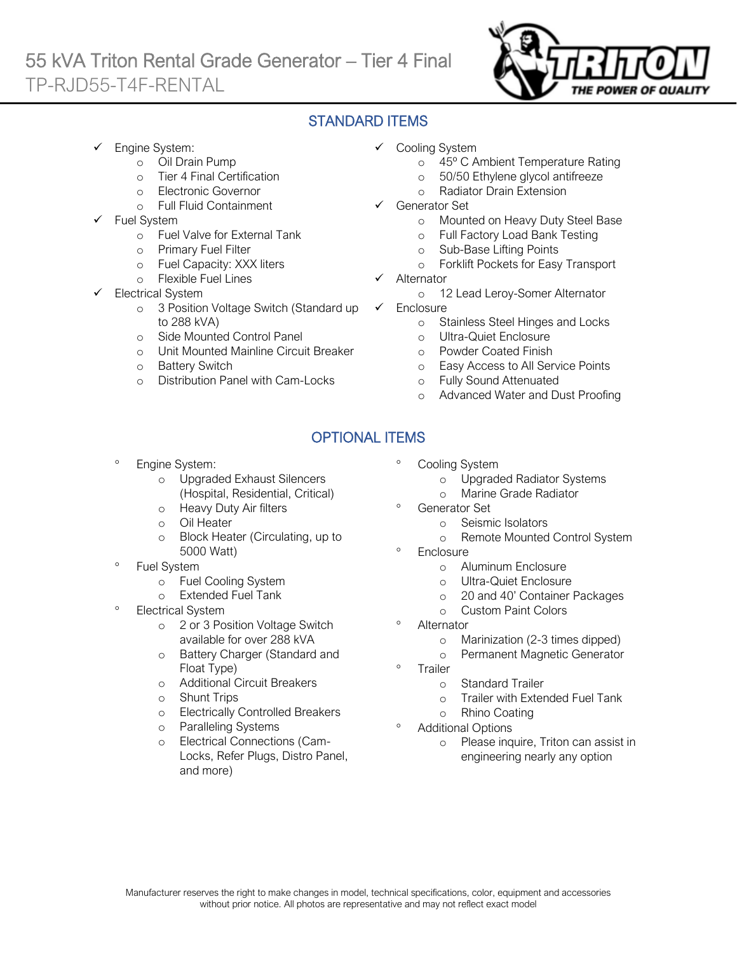# 55 kVA Triton Rental Grade Generator – Tier 4 Final TP-RJD55-T4F-RENTAL



## STANDARD ITEMS

- Engine System:
	- o Oil Drain Pump
	- o Tier 4 Final Certification
	- o Electronic Governor
	- o Full Fluid Containment
- Fuel System
	- o Fuel Valve for External Tank
	- o Primary Fuel Filter
	- o Fuel Capacity: XXX liters
	- o Flexible Fuel Lines
- Electrical System
	- o 3 Position Voltage Switch (Standard up to 288 kVA)
	- o Side Mounted Control Panel
	- o Unit Mounted Mainline Circuit Breaker
	- o Battery Switch
	- o Distribution Panel with Cam-Locks
- ✓ Cooling System
	- o 45º C Ambient Temperature Rating
	- o 50/50 Ethylene glycol antifreeze
	- o Radiator Drain Extension
- Generator Set
	- o Mounted on Heavy Duty Steel Base
	- o Full Factory Load Bank Testing
	- o Sub-Base Lifting Points
	- o Forklift Pockets for Easy Transport
- **Alternator** 
	- o 12 Lead Leroy-Somer Alternator
- ✓ Enclosure
	- o Stainless Steel Hinges and Locks
	- o Ultra-Quiet Enclosure
	- o Powder Coated Finish
	- o Easy Access to All Service Points
	- o Fully Sound Attenuated
	- o Advanced Water and Dust Proofing

# OPTIONAL ITEMS

- Engine System:
	- o Upgraded Exhaust Silencers (Hospital, Residential, Critical)
	- o Heavy Duty Air filters
	- o Oil Heater
	- o Block Heater (Circulating, up to 5000 Watt)
- Fuel System
	- o Fuel Cooling System
	- o Extended Fuel Tank
- Electrical System
	- o 2 or 3 Position Voltage Switch available for over 288 kVA
	- o Battery Charger (Standard and Float Type)
	- o Additional Circuit Breakers
	- o Shunt Trips
	- o Electrically Controlled Breakers
	- o Paralleling Systems
	- o Electrical Connections (Cam-Locks, Refer Plugs, Distro Panel, and more)
- Cooling System
	- o Upgraded Radiator Systems
	- o Marine Grade Radiator
- Generator Set
	- o Seismic Isolators
	- o Remote Mounted Control System
- <sup>o</sup> Enclosure
	- o Aluminum Enclosure
	- o Ultra-Quiet Enclosure
	- o 20 and 40' Container Packages
	- o Custom Paint Colors
- **Alternator** 
	- o Marinization (2-3 times dipped)
	- o Permanent Magnetic Generator
- Trailer
	- o Standard Trailer
	- o Trailer with Extended Fuel Tank
	- o Rhino Coating
- Additional Options
	- o Please inquire, Triton can assist in engineering nearly any option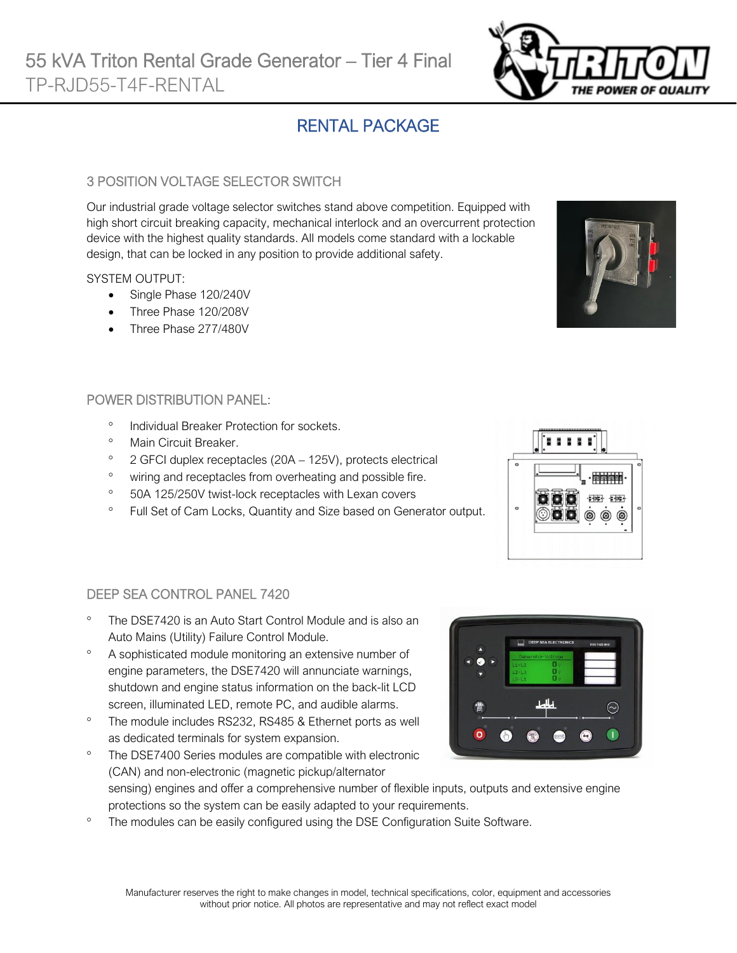# RENTAL PACKAGE

## 3 POSITION VOLTAGE SELECTOR SWITCH

Our industrial grade voltage selector switches stand above competition. Equipped with high short circuit breaking capacity, mechanical interlock and an overcurrent protection device with the highest quality standards. All models come standard with a lockable design, that can be locked in any position to provide additional safety.

## SYSTEM OUTPUT:

- Single Phase 120/240V
- Three Phase 120/208V
- Three Phase 277/480V

## POWER DISTRIBUTION PANEL:

- <sup>o</sup> Individual Breaker Protection for sockets.
- <sup>o</sup> Main Circuit Breaker.

DEEP SEA CONTROL PANEL 7420

- $\degree$  2 GFCI duplex receptacles (20A 125V), protects electrical
- <sup>o</sup> wiring and receptacles from overheating and possible fire.
- <sup>o</sup> 50A 125/250V twist-lock receptacles with Lexan covers
- <sup>o</sup> Full Set of Cam Locks, Quantity and Size based on Generator output.



- A sophisticated module monitoring an extensive number of engine parameters, the DSE7420 will annunciate warnings, shutdown and engine status information on the back-lit LCD screen, illuminated LED, remote PC, and audible alarms.
- <sup>o</sup> The module includes RS232, RS485 & Ethernet ports as well as dedicated terminals for system expansion.

The DSE7400 Series modules are compatible with electronic

- (CAN) and non-electronic (magnetic pickup/alternator sensing) engines and offer a comprehensive number of flexible inputs, outputs and extensive engine protections so the system can be easily adapted to your requirements.
- <sup>o</sup> The modules can be easily configured using the DSE Configuration Suite Software.



 $\blacksquare$